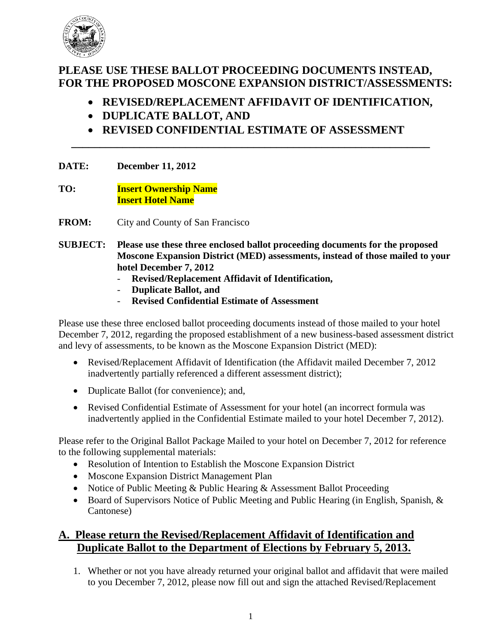

# **PLEASE USE THESE BALLOT PROCEEDING DOCUMENTS INSTEAD, FOR THE PROPOSED MOSCONE EXPANSION DISTRICT/ASSESSMENTS:**

- **REVISED/REPLACEMENT AFFIDAVIT OF IDENTIFICATION,**
- **DUPLICATE BALLOT, AND**
- **REVISED CONFIDENTIAL ESTIMATE OF ASSESSMENT**

**\_\_\_\_\_\_\_\_\_\_\_\_\_\_\_\_\_\_\_\_\_\_\_\_\_\_\_\_\_\_\_\_\_\_\_\_\_\_\_\_\_\_\_\_\_\_\_\_\_\_\_\_\_\_\_\_\_\_\_\_\_\_\_**

#### **DATE: December 11, 2012**

**TO: Insert Ownership Name Insert Hotel Name**

**FROM:** City and County of San Francisco

- **SUBJECT: Please use these three enclosed ballot proceeding documents for the proposed Moscone Expansion District (MED) assessments, instead of those mailed to your hotel December 7, 2012** 
	- **Revised/Replacement Affidavit of Identification,**
	- **Duplicate Ballot, and**
	- **Revised Confidential Estimate of Assessment**

Please use these three enclosed ballot proceeding documents instead of those mailed to your hotel December 7, 2012, regarding the proposed establishment of a new business-based assessment district and levy of assessments, to be known as the Moscone Expansion District (MED):

- Revised/Replacement Affidavit of Identification (the Affidavit mailed December 7, 2012 inadvertently partially referenced a different assessment district);
- Duplicate Ballot (for convenience); and,
- Revised Confidential Estimate of Assessment for your hotel (an incorrect formula was inadvertently applied in the Confidential Estimate mailed to your hotel December 7, 2012).

Please refer to the Original Ballot Package Mailed to your hotel on December 7, 2012 for reference to the following supplemental materials:

- Resolution of Intention to Establish the Moscone Expansion District
- Moscone Expansion District Management Plan
- Notice of Public Meeting & Public Hearing & Assessment Ballot Proceeding
- Board of Supervisors Notice of Public Meeting and Public Hearing (in English, Spanish, & Cantonese)

## **A. Please return the Revised/Replacement Affidavit of Identification and Duplicate Ballot to the Department of Elections by February 5, 2013.**

1. Whether or not you have already returned your original ballot and affidavit that were mailed to you December 7, 2012, please now fill out and sign the attached Revised/Replacement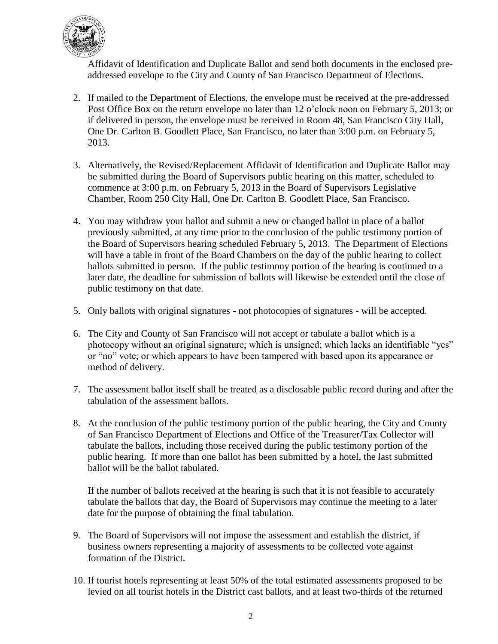

Affidavit of Identification and Duplicate Ballot and send both documents in the enclosed preaddressed envelope to the City and County of San Francisco Department of Elections.

- 2. If mailed to the Department of Elections, the envelope must be received at the pre-addressed Post Office Box on the return envelope no later than 12 o'clock noon on February 5, 2013; or if delivered in person, the envelope must be received in Room 48, San Francisco City Hall, One Dr. Carlton B. Goodlett Place, San Francisco, no later than 3:00 p.m. on February 5, 2013.
- 3. Alternatively, the Revised/Replacement Affidavit of Identification and Duplicate Ballot may be submitted during the Board of Supervisors public hearing on this matter, scheduled to commence at 3:00 p.m. on February 5, 2013 in the Board of Supervisors Legislative Chamber, Room 250 City Hall, One Dr. Carlton B. Goodlett Place, San Francisco.
- 4. You may withdraw your ballot and submit a new or changed ballot in place of a ballot previously submitted, at any time prior to the conclusion of the public testimony portion of the Board of Supervisors hearing scheduled February 5, 2013. The Department of Elections will have a table in front of the Board Chambers on the day of the public hearing to collect ballots submitted in person. If the public testimony portion of the hearing is continued to a later date, the deadline for submission of ballots will likewise be extended until the close of public testimony on that date.
- 5. Only ballots with original signatures not photocopies of signatures will be accepted.
- 6. The City and County of San Francisco will not accept or tabulate a ballot which is a photocopy without an original signature; which is unsigned; which lacks an identifiable "yes" or "no" vote; or which appears to have been tampered with based upon its appearance or method of delivery.
- 7. The assessment ballot itself shall be treated as a disclosable public record during and after the tabulation of the assessment ballots.
- 8. At the conclusion of the public testimony portion of the public hearing, the City and County of San Francisco Department of Elections and Office of the Treasurer/Tax Collector will tabulate the ballots, including those received during the public testimony portion of the public hearing. If more than one ballot has been submitted by a hotel, the last submitted ballot will be the ballot tabulated.

If the number of ballots received at the hearing is such that it is not feasible to accurately tabulate the ballots that day, the Board of Supervisors may continue the meeting to a later date for the purpose of obtaining the final tabulation.

- 9. The Board of Supervisors will not impose the assessment and establish the district, if business owners representing a majority of assessments to be collected vote against formation of the District.
- 10. If tourist hotels representing at least 50% of the total estimated assessments proposed to be levied on all tourist hotels in the District cast ballots, and at least two-thirds of the returned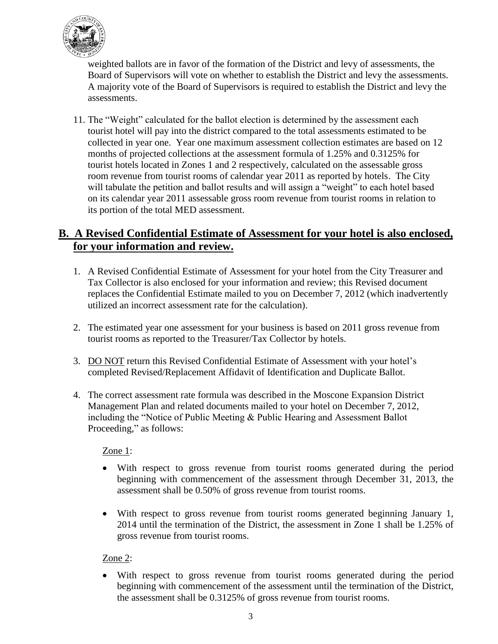

weighted ballots are in favor of the formation of the District and levy of assessments, the Board of Supervisors will vote on whether to establish the District and levy the assessments. A majority vote of the Board of Supervisors is required to establish the District and levy the assessments.

11. The "Weight" calculated for the ballot election is determined by the assessment each tourist hotel will pay into the district compared to the total assessments estimated to be collected in year one. Year one maximum assessment collection estimates are based on 12 months of projected collections at the assessment formula of 1.25% and 0.3125% for tourist hotels located in Zones 1 and 2 respectively, calculated on the assessable gross room revenue from tourist rooms of calendar year 2011 as reported by hotels. The City will tabulate the petition and ballot results and will assign a "weight" to each hotel based on its calendar year 2011 assessable gross room revenue from tourist rooms in relation to its portion of the total MED assessment.

### **B. A Revised Confidential Estimate of Assessment for your hotel is also enclosed, for your information and review.**

- 1. A Revised Confidential Estimate of Assessment for your hotel from the City Treasurer and Tax Collector is also enclosed for your information and review; this Revised document replaces the Confidential Estimate mailed to you on December 7, 2012 (which inadvertently utilized an incorrect assessment rate for the calculation).
- 2. The estimated year one assessment for your business is based on 2011 gross revenue from tourist rooms as reported to the Treasurer/Tax Collector by hotels.
- 3. DO NOT return this Revised Confidential Estimate of Assessment with your hotel's completed Revised/Replacement Affidavit of Identification and Duplicate Ballot.
- 4. The correct assessment rate formula was described in the Moscone Expansion District Management Plan and related documents mailed to your hotel on December 7, 2012, including the "Notice of Public Meeting & Public Hearing and Assessment Ballot Proceeding," as follows:

#### Zone 1:

- With respect to gross revenue from tourist rooms generated during the period beginning with commencement of the assessment through December 31, 2013, the assessment shall be 0.50% of gross revenue from tourist rooms.
- With respect to gross revenue from tourist rooms generated beginning January 1, 2014 until the termination of the District, the assessment in Zone 1 shall be 1.25% of gross revenue from tourist rooms.

### Zone 2:

 With respect to gross revenue from tourist rooms generated during the period beginning with commencement of the assessment until the termination of the District, the assessment shall be 0.3125% of gross revenue from tourist rooms.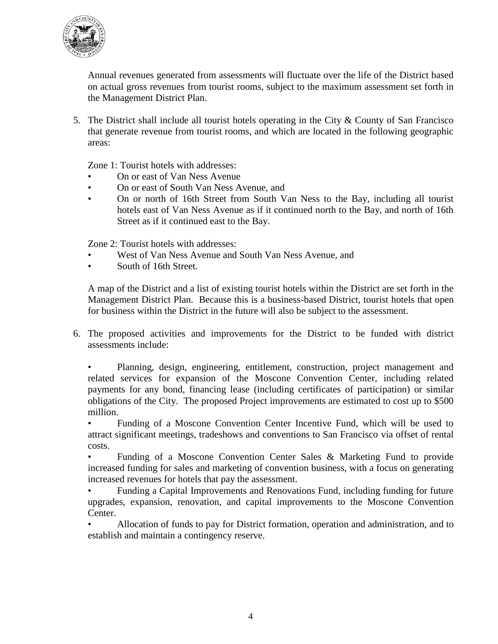

Annual revenues generated from assessments will fluctuate over the life of the District based on actual gross revenues from tourist rooms, subject to the maximum assessment set forth in the Management District Plan.

5. The District shall include all tourist hotels operating in the City & County of San Francisco that generate revenue from tourist rooms, and which are located in the following geographic areas:

Zone 1: Tourist hotels with addresses:

- On or east of Van Ness Avenue
- On or east of South Van Ness Avenue, and
- On or north of 16th Street from South Van Ness to the Bay, including all tourist hotels east of Van Ness Avenue as if it continued north to the Bay, and north of 16th Street as if it continued east to the Bay.

Zone 2: Tourist hotels with addresses:

- West of Van Ness Avenue and South Van Ness Avenue, and
- South of 16th Street.

A map of the District and a list of existing tourist hotels within the District are set forth in the Management District Plan. Because this is a business-based District, tourist hotels that open for business within the District in the future will also be subject to the assessment.

6. The proposed activities and improvements for the District to be funded with district assessments include:

• Planning, design, engineering, entitlement, construction, project management and related services for expansion of the Moscone Convention Center, including related payments for any bond, financing lease (including certificates of participation) or similar obligations of the City. The proposed Project improvements are estimated to cost up to \$500 million.

• Funding of a Moscone Convention Center Incentive Fund, which will be used to attract significant meetings, tradeshows and conventions to San Francisco via offset of rental costs.

• Funding of a Moscone Convention Center Sales & Marketing Fund to provide increased funding for sales and marketing of convention business, with a focus on generating increased revenues for hotels that pay the assessment.

• Funding a Capital Improvements and Renovations Fund, including funding for future upgrades, expansion, renovation, and capital improvements to the Moscone Convention Center.

• Allocation of funds to pay for District formation, operation and administration, and to establish and maintain a contingency reserve.